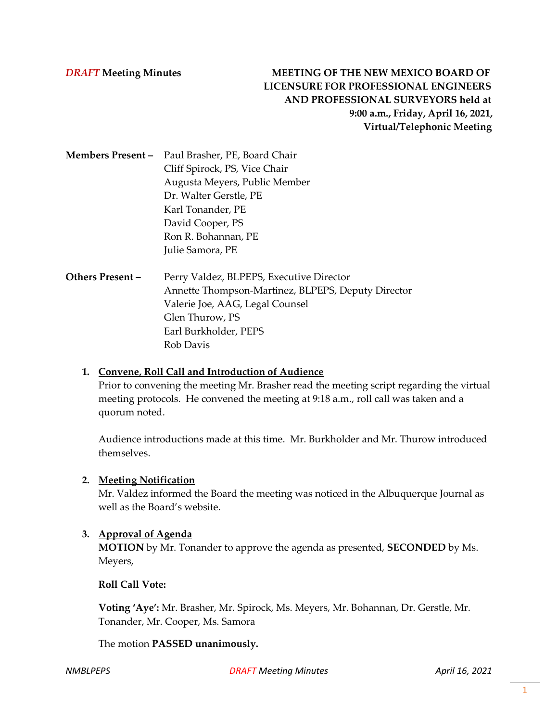**Members Present –** Paul Brasher, PE, Board Chair Cliff Spirock, PS, Vice Chair Augusta Meyers, Public Member Dr. Walter Gerstle, PE Karl Tonander, PE David Cooper, PS Ron R. Bohannan, PE Julie Samora, PE

**Others Present –** Perry Valdez, BLPEPS, Executive Director Annette Thompson-Martinez, BLPEPS, Deputy Director Valerie Joe, AAG, Legal Counsel Glen Thurow, PS Earl Burkholder, PEPS Rob Davis

## **1. Convene, Roll Call and Introduction of Audience**

Prior to convening the meeting Mr. Brasher read the meeting script regarding the virtual meeting protocols. He convened the meeting at 9:18 a.m., roll call was taken and a quorum noted.

Audience introductions made at this time. Mr. Burkholder and Mr. Thurow introduced themselves.

#### **2. Meeting Notification**

Mr. Valdez informed the Board the meeting was noticed in the Albuquerque Journal as well as the Board's website.

#### **3. Approval of Agenda**

**MOTION** by Mr. Tonander to approve the agenda as presented, **SECONDED** by Ms. Meyers,

**Roll Call Vote:** 

**Voting 'Aye':** Mr. Brasher, Mr. Spirock, Ms. Meyers, Mr. Bohannan, Dr. Gerstle, Mr. Tonander, Mr. Cooper, Ms. Samora

The motion **PASSED unanimously.**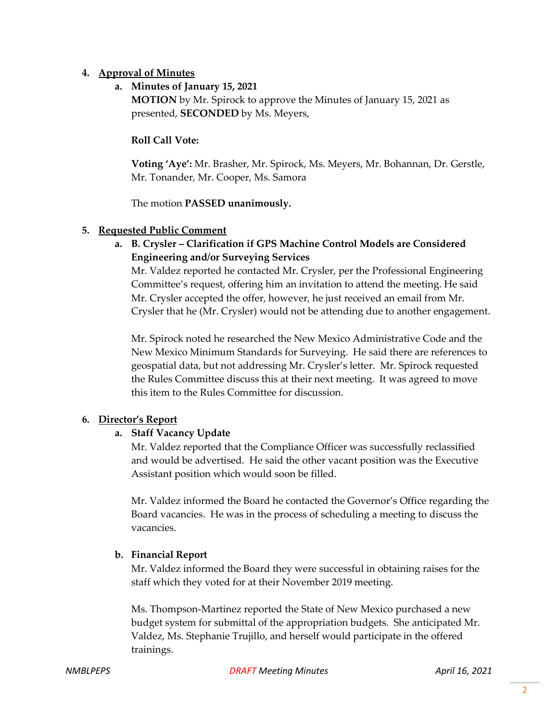## **4. Approval of Minutes**

# **a. Minutes of January 15, 2021**

**MOTION** by Mr. Spirock to approve the Minutes of January 15, 2021 as presented, **SECONDED** by Ms. Meyers,

# **Roll Call Vote:**

**Voting 'Aye':** Mr. Brasher, Mr. Spirock, Ms. Meyers, Mr. Bohannan, Dr. Gerstle, Mr. Tonander, Mr. Cooper, Ms. Samora

The motion **PASSED unanimously.**

## **5. Requested Public Comment**

**a. B. Crysler – Clarification if GPS Machine Control Models are Considered Engineering and/or Surveying Services**

Mr. Valdez reported he contacted Mr. Crysler, per the Professional Engineering Committee's request, offering him an invitation to attend the meeting. He said Mr. Crysler accepted the offer, however, he just received an email from Mr. Crysler that he (Mr. Crysler) would not be attending due to another engagement.

Mr. Spirock noted he researched the New Mexico Administrative Code and the New Mexico Minimum Standards for Surveying. He said there are references to geospatial data, but not addressing Mr. Crysler's letter. Mr. Spirock requested the Rules Committee discuss this at their next meeting. It was agreed to move this item to the Rules Committee for discussion.

# **6. Director's Report**

# **a. Staff Vacancy Update**

Mr. Valdez reported that the Compliance Officer was successfully reclassified and would be advertised. He said the other vacant position was the Executive Assistant position which would soon be filled.

Mr. Valdez informed the Board he contacted the Governor's Office regarding the Board vacancies. He was in the process of scheduling a meeting to discuss the vacancies.

# **b. Financial Report**

Mr. Valdez informed the Board they were successful in obtaining raises for the staff which they voted for at their November 2019 meeting.

Ms. Thompson-Martinez reported the State of New Mexico purchased a new budget system for submittal of the appropriation budgets. She anticipated Mr. Valdez, Ms. Stephanie Trujillo, and herself would participate in the offered trainings.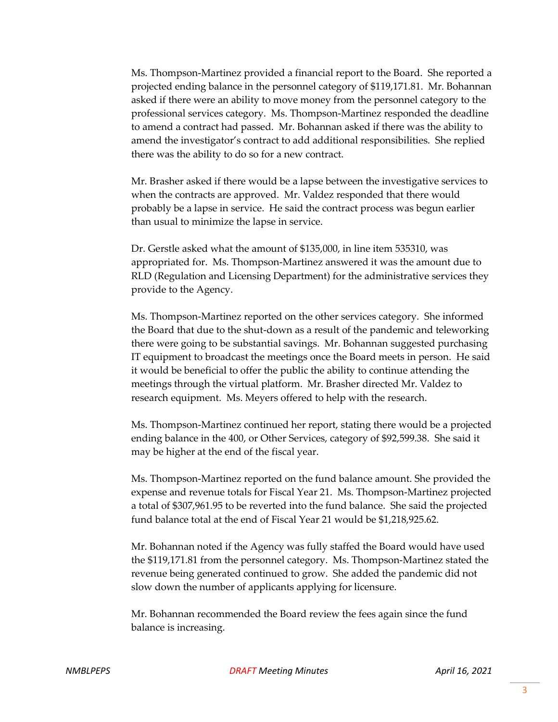Ms. Thompson-Martinez provided a financial report to the Board. She reported a projected ending balance in the personnel category of \$119,171.81. Mr. Bohannan asked if there were an ability to move money from the personnel category to the professional services category. Ms. Thompson-Martinez responded the deadline to amend a contract had passed. Mr. Bohannan asked if there was the ability to amend the investigator's contract to add additional responsibilities. She replied there was the ability to do so for a new contract.

Mr. Brasher asked if there would be a lapse between the investigative services to when the contracts are approved. Mr. Valdez responded that there would probably be a lapse in service. He said the contract process was begun earlier than usual to minimize the lapse in service.

Dr. Gerstle asked what the amount of \$135,000, in line item 535310, was appropriated for. Ms. Thompson-Martinez answered it was the amount due to RLD (Regulation and Licensing Department) for the administrative services they provide to the Agency.

Ms. Thompson-Martinez reported on the other services category. She informed the Board that due to the shut-down as a result of the pandemic and teleworking there were going to be substantial savings. Mr. Bohannan suggested purchasing IT equipment to broadcast the meetings once the Board meets in person. He said it would be beneficial to offer the public the ability to continue attending the meetings through the virtual platform. Mr. Brasher directed Mr. Valdez to research equipment. Ms. Meyers offered to help with the research.

Ms. Thompson-Martinez continued her report, stating there would be a projected ending balance in the 400, or Other Services, category of \$92,599.38. She said it may be higher at the end of the fiscal year.

Ms. Thompson-Martinez reported on the fund balance amount. She provided the expense and revenue totals for Fiscal Year 21. Ms. Thompson-Martinez projected a total of \$307,961.95 to be reverted into the fund balance. She said the projected fund balance total at the end of Fiscal Year 21 would be \$1,218,925.62.

Mr. Bohannan noted if the Agency was fully staffed the Board would have used the \$119,171.81 from the personnel category. Ms. Thompson-Martinez stated the revenue being generated continued to grow. She added the pandemic did not slow down the number of applicants applying for licensure.

Mr. Bohannan recommended the Board review the fees again since the fund balance is increasing.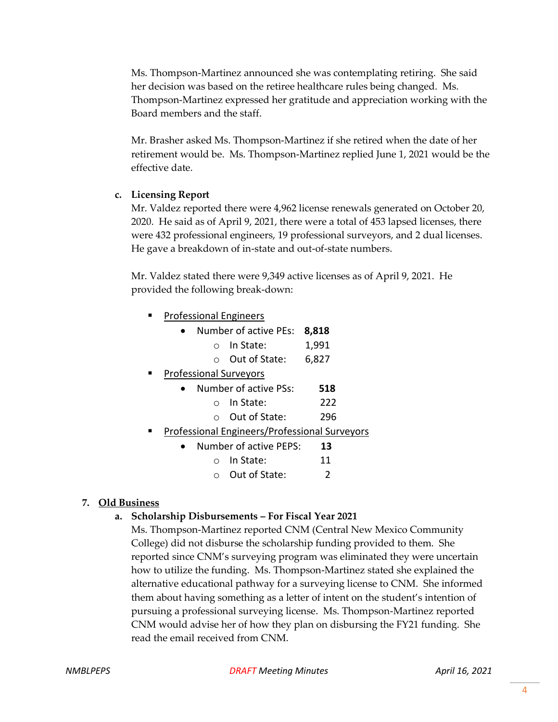Ms. Thompson-Martinez announced she was contemplating retiring. She said her decision was based on the retiree healthcare rules being changed. Ms. Thompson-Martinez expressed her gratitude and appreciation working with the Board members and the staff.

Mr. Brasher asked Ms. Thompson-Martinez if she retired when the date of her retirement would be. Ms. Thompson-Martinez replied June 1, 2021 would be the effective date.

# **c. Licensing Report**

Mr. Valdez reported there were 4,962 license renewals generated on October 20, 2020. He said as of April 9, 2021, there were a total of 453 lapsed licenses, there were 432 professional engineers, 19 professional surveyors, and 2 dual licenses. He gave a breakdown of in-state and out-of-state numbers.

Mr. Valdez stated there were 9,349 active licenses as of April 9, 2021. He provided the following break-down:

| <b>Professional Engineers</b>                 |                        |                       |       |  |
|-----------------------------------------------|------------------------|-----------------------|-------|--|
|                                               |                        | Number of active PEs: | 8,818 |  |
|                                               |                        | In State:             | 1,991 |  |
|                                               |                        | Out of State:         | 6,827 |  |
| <b>Professional Surveyors</b>                 |                        |                       |       |  |
|                                               |                        | Number of active PSs: | 518   |  |
|                                               |                        | In State:             | 222   |  |
|                                               |                        | Out of State:         | 296   |  |
| Professional Engineers/Professional Surveyors |                        |                       |       |  |
|                                               | Number of active PEPS: |                       | 13    |  |
|                                               |                        | In State:             | 11    |  |
|                                               |                        | Out of State:         | 2     |  |

# **7. Old Business**

# **a. Scholarship Disbursements – For Fiscal Year 2021**

Ms. Thompson-Martinez reported CNM (Central New Mexico Community College) did not disburse the scholarship funding provided to them. She reported since CNM's surveying program was eliminated they were uncertain how to utilize the funding. Ms. Thompson-Martinez stated she explained the alternative educational pathway for a surveying license to CNM. She informed them about having something as a letter of intent on the student's intention of pursuing a professional surveying license. Ms. Thompson-Martinez reported CNM would advise her of how they plan on disbursing the FY21 funding. She read the email received from CNM.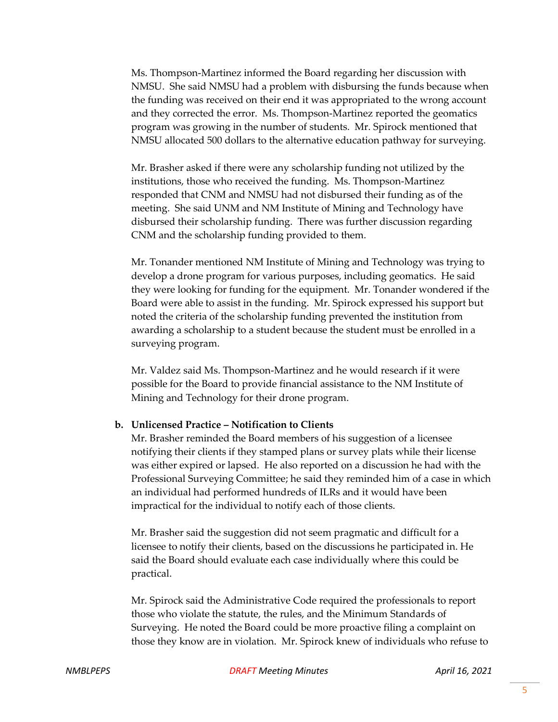Ms. Thompson-Martinez informed the Board regarding her discussion with NMSU. She said NMSU had a problem with disbursing the funds because when the funding was received on their end it was appropriated to the wrong account and they corrected the error. Ms. Thompson-Martinez reported the geomatics program was growing in the number of students. Mr. Spirock mentioned that NMSU allocated 500 dollars to the alternative education pathway for surveying.

Mr. Brasher asked if there were any scholarship funding not utilized by the institutions, those who received the funding. Ms. Thompson-Martinez responded that CNM and NMSU had not disbursed their funding as of the meeting. She said UNM and NM Institute of Mining and Technology have disbursed their scholarship funding. There was further discussion regarding CNM and the scholarship funding provided to them.

Mr. Tonander mentioned NM Institute of Mining and Technology was trying to develop a drone program for various purposes, including geomatics. He said they were looking for funding for the equipment. Mr. Tonander wondered if the Board were able to assist in the funding. Mr. Spirock expressed his support but noted the criteria of the scholarship funding prevented the institution from awarding a scholarship to a student because the student must be enrolled in a surveying program.

Mr. Valdez said Ms. Thompson-Martinez and he would research if it were possible for the Board to provide financial assistance to the NM Institute of Mining and Technology for their drone program.

#### **b. Unlicensed Practice – Notification to Clients**

Mr. Brasher reminded the Board members of his suggestion of a licensee notifying their clients if they stamped plans or survey plats while their license was either expired or lapsed. He also reported on a discussion he had with the Professional Surveying Committee; he said they reminded him of a case in which an individual had performed hundreds of ILRs and it would have been impractical for the individual to notify each of those clients.

Mr. Brasher said the suggestion did not seem pragmatic and difficult for a licensee to notify their clients, based on the discussions he participated in. He said the Board should evaluate each case individually where this could be practical.

Mr. Spirock said the Administrative Code required the professionals to report those who violate the statute, the rules, and the Minimum Standards of Surveying. He noted the Board could be more proactive filing a complaint on those they know are in violation. Mr. Spirock knew of individuals who refuse to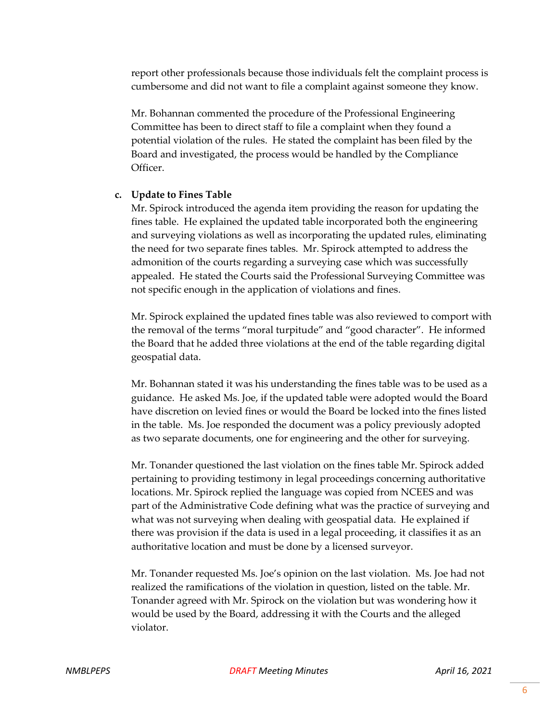report other professionals because those individuals felt the complaint process is cumbersome and did not want to file a complaint against someone they know.

Mr. Bohannan commented the procedure of the Professional Engineering Committee has been to direct staff to file a complaint when they found a potential violation of the rules. He stated the complaint has been filed by the Board and investigated, the process would be handled by the Compliance Officer.

#### **c. Update to Fines Table**

Mr. Spirock introduced the agenda item providing the reason for updating the fines table. He explained the updated table incorporated both the engineering and surveying violations as well as incorporating the updated rules, eliminating the need for two separate fines tables. Mr. Spirock attempted to address the admonition of the courts regarding a surveying case which was successfully appealed. He stated the Courts said the Professional Surveying Committee was not specific enough in the application of violations and fines.

Mr. Spirock explained the updated fines table was also reviewed to comport with the removal of the terms "moral turpitude" and "good character". He informed the Board that he added three violations at the end of the table regarding digital geospatial data.

Mr. Bohannan stated it was his understanding the fines table was to be used as a guidance. He asked Ms. Joe, if the updated table were adopted would the Board have discretion on levied fines or would the Board be locked into the fines listed in the table. Ms. Joe responded the document was a policy previously adopted as two separate documents, one for engineering and the other for surveying.

Mr. Tonander questioned the last violation on the fines table Mr. Spirock added pertaining to providing testimony in legal proceedings concerning authoritative locations. Mr. Spirock replied the language was copied from NCEES and was part of the Administrative Code defining what was the practice of surveying and what was not surveying when dealing with geospatial data. He explained if there was provision if the data is used in a legal proceeding, it classifies it as an authoritative location and must be done by a licensed surveyor.

Mr. Tonander requested Ms. Joe's opinion on the last violation. Ms. Joe had not realized the ramifications of the violation in question, listed on the table. Mr. Tonander agreed with Mr. Spirock on the violation but was wondering how it would be used by the Board, addressing it with the Courts and the alleged violator.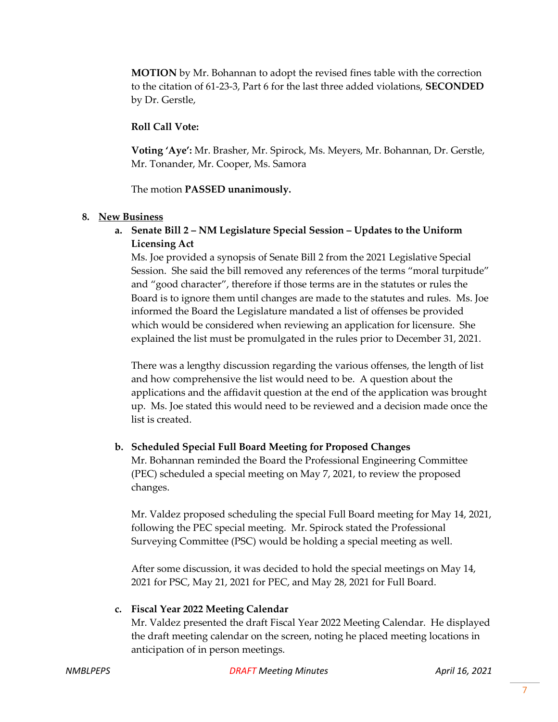**MOTION** by Mr. Bohannan to adopt the revised fines table with the correction to the citation of 61-23-3, Part 6 for the last three added violations, **SECONDED** by Dr. Gerstle,

## **Roll Call Vote:**

**Voting 'Aye':** Mr. Brasher, Mr. Spirock, Ms. Meyers, Mr. Bohannan, Dr. Gerstle, Mr. Tonander, Mr. Cooper, Ms. Samora

The motion **PASSED unanimously.**

## **8. New Business**

**a. Senate Bill 2 – NM Legislature Special Session – Updates to the Uniform Licensing Act**

Ms. Joe provided a synopsis of Senate Bill 2 from the 2021 Legislative Special Session. She said the bill removed any references of the terms "moral turpitude" and "good character", therefore if those terms are in the statutes or rules the Board is to ignore them until changes are made to the statutes and rules. Ms. Joe informed the Board the Legislature mandated a list of offenses be provided which would be considered when reviewing an application for licensure. She explained the list must be promulgated in the rules prior to December 31, 2021.

There was a lengthy discussion regarding the various offenses, the length of list and how comprehensive the list would need to be. A question about the applications and the affidavit question at the end of the application was brought up. Ms. Joe stated this would need to be reviewed and a decision made once the list is created.

## **b. Scheduled Special Full Board Meeting for Proposed Changes**

Mr. Bohannan reminded the Board the Professional Engineering Committee (PEC) scheduled a special meeting on May 7, 2021, to review the proposed changes.

Mr. Valdez proposed scheduling the special Full Board meeting for May 14, 2021, following the PEC special meeting. Mr. Spirock stated the Professional Surveying Committee (PSC) would be holding a special meeting as well.

After some discussion, it was decided to hold the special meetings on May 14, 2021 for PSC, May 21, 2021 for PEC, and May 28, 2021 for Full Board.

#### **c. Fiscal Year 2022 Meeting Calendar**

Mr. Valdez presented the draft Fiscal Year 2022 Meeting Calendar. He displayed the draft meeting calendar on the screen, noting he placed meeting locations in anticipation of in person meetings.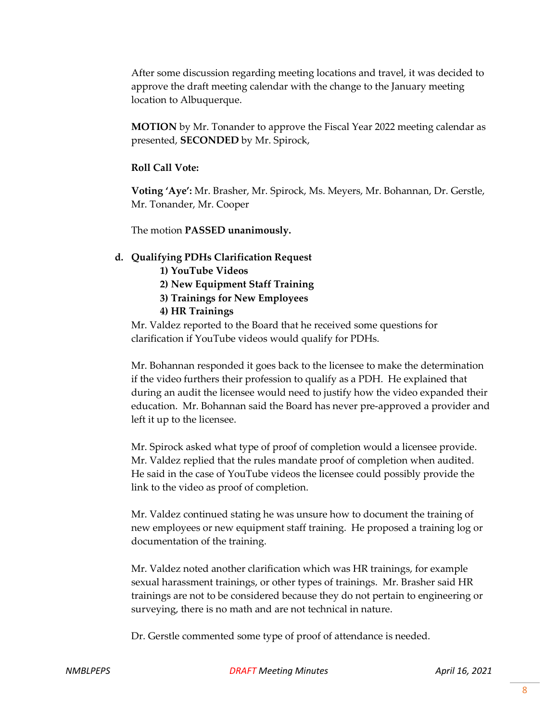After some discussion regarding meeting locations and travel, it was decided to approve the draft meeting calendar with the change to the January meeting location to Albuquerque.

**MOTION** by Mr. Tonander to approve the Fiscal Year 2022 meeting calendar as presented, **SECONDED** by Mr. Spirock,

## **Roll Call Vote:**

**Voting 'Aye':** Mr. Brasher, Mr. Spirock, Ms. Meyers, Mr. Bohannan, Dr. Gerstle, Mr. Tonander, Mr. Cooper

The motion **PASSED unanimously.**

## **d. Qualifying PDHs Clarification Request**

- **1) YouTube Videos**
- **2) New Equipment Staff Training**
- **3) Trainings for New Employees**
- **4) HR Trainings**

Mr. Valdez reported to the Board that he received some questions for clarification if YouTube videos would qualify for PDHs.

Mr. Bohannan responded it goes back to the licensee to make the determination if the video furthers their profession to qualify as a PDH. He explained that during an audit the licensee would need to justify how the video expanded their education. Mr. Bohannan said the Board has never pre-approved a provider and left it up to the licensee.

Mr. Spirock asked what type of proof of completion would a licensee provide. Mr. Valdez replied that the rules mandate proof of completion when audited. He said in the case of YouTube videos the licensee could possibly provide the link to the video as proof of completion.

Mr. Valdez continued stating he was unsure how to document the training of new employees or new equipment staff training. He proposed a training log or documentation of the training.

Mr. Valdez noted another clarification which was HR trainings, for example sexual harassment trainings, or other types of trainings. Mr. Brasher said HR trainings are not to be considered because they do not pertain to engineering or surveying, there is no math and are not technical in nature.

Dr. Gerstle commented some type of proof of attendance is needed.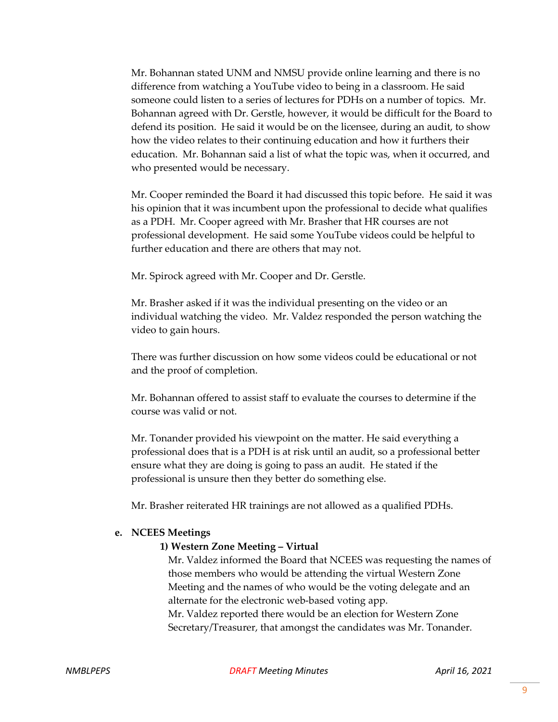Mr. Bohannan stated UNM and NMSU provide online learning and there is no difference from watching a YouTube video to being in a classroom. He said someone could listen to a series of lectures for PDHs on a number of topics. Mr. Bohannan agreed with Dr. Gerstle, however, it would be difficult for the Board to defend its position. He said it would be on the licensee, during an audit, to show how the video relates to their continuing education and how it furthers their education. Mr. Bohannan said a list of what the topic was, when it occurred, and who presented would be necessary.

Mr. Cooper reminded the Board it had discussed this topic before. He said it was his opinion that it was incumbent upon the professional to decide what qualifies as a PDH. Mr. Cooper agreed with Mr. Brasher that HR courses are not professional development. He said some YouTube videos could be helpful to further education and there are others that may not.

Mr. Spirock agreed with Mr. Cooper and Dr. Gerstle.

Mr. Brasher asked if it was the individual presenting on the video or an individual watching the video. Mr. Valdez responded the person watching the video to gain hours.

There was further discussion on how some videos could be educational or not and the proof of completion.

Mr. Bohannan offered to assist staff to evaluate the courses to determine if the course was valid or not.

Mr. Tonander provided his viewpoint on the matter. He said everything a professional does that is a PDH is at risk until an audit, so a professional better ensure what they are doing is going to pass an audit. He stated if the professional is unsure then they better do something else.

Mr. Brasher reiterated HR trainings are not allowed as a qualified PDHs.

#### **e. NCEES Meetings**

## **1) Western Zone Meeting – Virtual**

Mr. Valdez informed the Board that NCEES was requesting the names of those members who would be attending the virtual Western Zone Meeting and the names of who would be the voting delegate and an alternate for the electronic web-based voting app. Mr. Valdez reported there would be an election for Western Zone Secretary/Treasurer, that amongst the candidates was Mr. Tonander.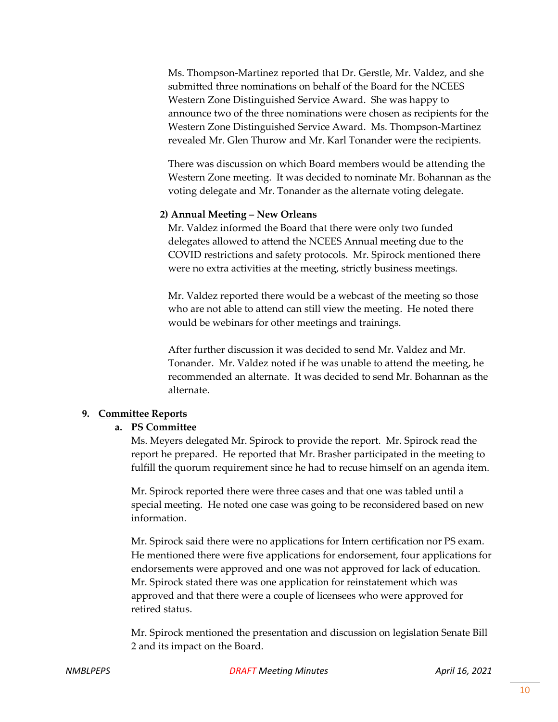Ms. Thompson-Martinez reported that Dr. Gerstle, Mr. Valdez, and she submitted three nominations on behalf of the Board for the NCEES Western Zone Distinguished Service Award. She was happy to announce two of the three nominations were chosen as recipients for the Western Zone Distinguished Service Award. Ms. Thompson-Martinez revealed Mr. Glen Thurow and Mr. Karl Tonander were the recipients.

There was discussion on which Board members would be attending the Western Zone meeting. It was decided to nominate Mr. Bohannan as the voting delegate and Mr. Tonander as the alternate voting delegate.

#### **2) Annual Meeting – New Orleans**

Mr. Valdez informed the Board that there were only two funded delegates allowed to attend the NCEES Annual meeting due to the COVID restrictions and safety protocols. Mr. Spirock mentioned there were no extra activities at the meeting, strictly business meetings.

Mr. Valdez reported there would be a webcast of the meeting so those who are not able to attend can still view the meeting. He noted there would be webinars for other meetings and trainings.

After further discussion it was decided to send Mr. Valdez and Mr. Tonander. Mr. Valdez noted if he was unable to attend the meeting, he recommended an alternate. It was decided to send Mr. Bohannan as the alternate.

#### **9. Committee Reports**

#### **a. PS Committee**

Ms. Meyers delegated Mr. Spirock to provide the report. Mr. Spirock read the report he prepared. He reported that Mr. Brasher participated in the meeting to fulfill the quorum requirement since he had to recuse himself on an agenda item.

Mr. Spirock reported there were three cases and that one was tabled until a special meeting. He noted one case was going to be reconsidered based on new information.

Mr. Spirock said there were no applications for Intern certification nor PS exam. He mentioned there were five applications for endorsement, four applications for endorsements were approved and one was not approved for lack of education. Mr. Spirock stated there was one application for reinstatement which was approved and that there were a couple of licensees who were approved for retired status.

Mr. Spirock mentioned the presentation and discussion on legislation Senate Bill 2 and its impact on the Board.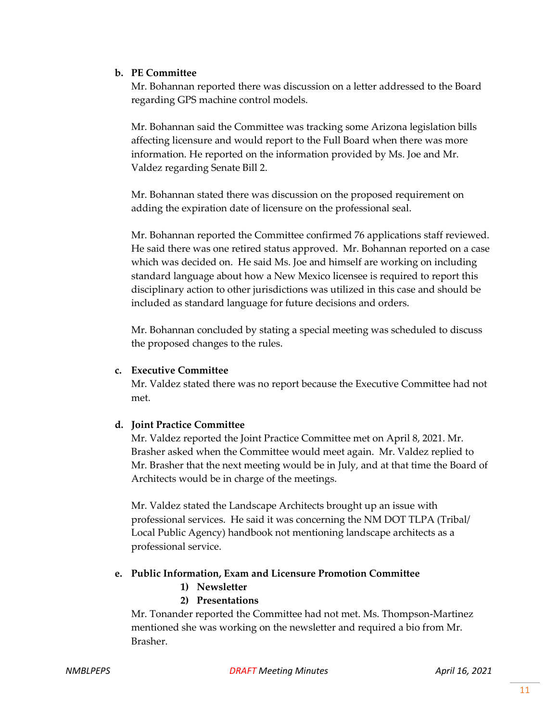# **b. PE Committee**

Mr. Bohannan reported there was discussion on a letter addressed to the Board regarding GPS machine control models.

Mr. Bohannan said the Committee was tracking some Arizona legislation bills affecting licensure and would report to the Full Board when there was more information. He reported on the information provided by Ms. Joe and Mr. Valdez regarding Senate Bill 2.

Mr. Bohannan stated there was discussion on the proposed requirement on adding the expiration date of licensure on the professional seal.

Mr. Bohannan reported the Committee confirmed 76 applications staff reviewed. He said there was one retired status approved. Mr. Bohannan reported on a case which was decided on. He said Ms. Joe and himself are working on including standard language about how a New Mexico licensee is required to report this disciplinary action to other jurisdictions was utilized in this case and should be included as standard language for future decisions and orders.

Mr. Bohannan concluded by stating a special meeting was scheduled to discuss the proposed changes to the rules.

# **c. Executive Committee**

Mr. Valdez stated there was no report because the Executive Committee had not met.

# **d. Joint Practice Committee**

Mr. Valdez reported the Joint Practice Committee met on April 8, 2021. Mr. Brasher asked when the Committee would meet again. Mr. Valdez replied to Mr. Brasher that the next meeting would be in July, and at that time the Board of Architects would be in charge of the meetings.

Mr. Valdez stated the Landscape Architects brought up an issue with professional services. He said it was concerning the NM DOT TLPA (Tribal/ Local Public Agency) handbook not mentioning landscape architects as a professional service.

# **e. Public Information, Exam and Licensure Promotion Committee**

**1) Newsletter**

# **2) Presentations**

Mr. Tonander reported the Committee had not met. Ms. Thompson-Martinez mentioned she was working on the newsletter and required a bio from Mr. Brasher.